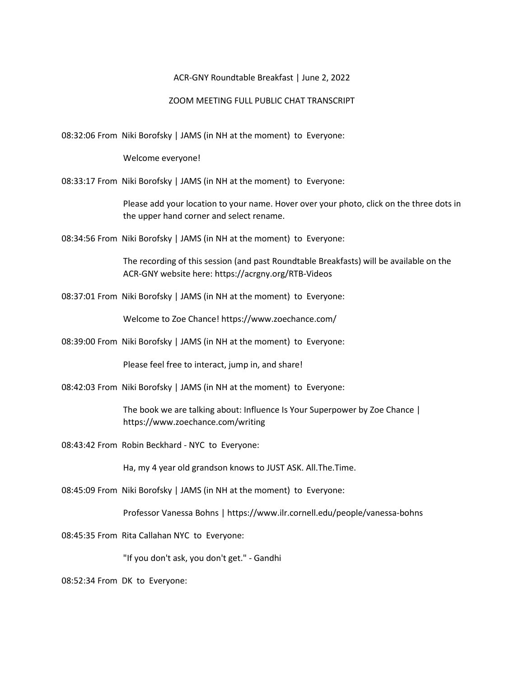## ACR-GNY Roundtable Breakfast | June 2, 2022

## ZOOM MEETING FULL PUBLIC CHAT TRANSCRIPT

08:32:06 From Niki Borofsky | JAMS (in NH at the moment) to Everyone:

Welcome everyone!

08:33:17 From Niki Borofsky | JAMS (in NH at the moment) to Everyone:

Please add your location to your name. Hover over your photo, click on the three dots in the upper hand corner and select rename.

08:34:56 From Niki Borofsky | JAMS (in NH at the moment) to Everyone:

The recording of this session (and past Roundtable Breakfasts) will be available on the ACR-GNY website here: https://acrgny.org/RTB-Videos

08:37:01 From Niki Borofsky | JAMS (in NH at the moment) to Everyone:

Welcome to Zoe Chance! https://www.zoechance.com/

08:39:00 From Niki Borofsky | JAMS (in NH at the moment) to Everyone:

Please feel free to interact, jump in, and share!

08:42:03 From Niki Borofsky | JAMS (in NH at the moment) to Everyone:

The book we are talking about: Influence Is Your Superpower by Zoe Chance | https://www.zoechance.com/writing

08:43:42 From Robin Beckhard - NYC to Everyone:

Ha, my 4 year old grandson knows to JUST ASK. All.The.Time.

08:45:09 From Niki Borofsky | JAMS (in NH at the moment) to Everyone:

Professor Vanessa Bohns | https://www.ilr.cornell.edu/people/vanessa-bohns

08:45:35 From Rita Callahan NYC to Everyone:

"If you don't ask, you don't get." - Gandhi

08:52:34 From DK to Everyone: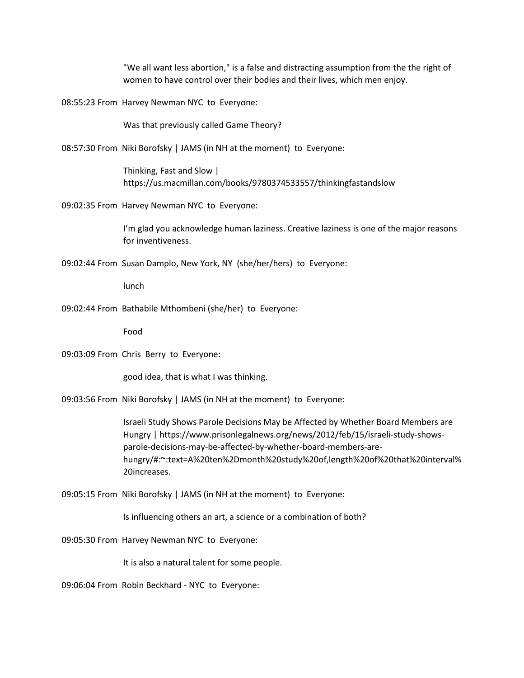"We all want less abortion," is a false and distracting assumption from the the right of women to have control over their bodies and their lives, which men enjoy.

08:55:23 From Harvey Newman NYC to Everyone:

Was that previously called Game Theory?

08:57:30 From Niki Borofsky | JAMS (in NH at the moment) to Everyone:

Thinking, Fast and Slow | https://us.macmillan.com/books/9780374533557/thinkingfastandslow

09:02:35 From Harvey Newman NYC to Everyone:

I'm glad you acknowledge human laziness. Creative laziness is one of the major reasons for inventiveness.

09:02:44 From Susan Damplo, New York, NY (she/her/hers) to Everyone:

lunch

09:02:44 From Bathabile Mthombeni (she/her) to Everyone:

Food

09:03:09 From Chris Berry to Everyone:

good idea, that is what I was thinking.

09:03:56 From Niki Borofsky | JAMS (in NH at the moment) to Everyone:

Israeli Study Shows Parole Decisions May be Affected by Whether Board Members are Hungry | https://www.prisonlegalnews.org/news/2012/feb/15/israeli-study-showsparole-decisions-may-be-affected-by-whether-board-members-arehungry/#:~:text=A%20ten%2Dmonth%20study%20of,length%20of%20that%20interval% 20increases.

09:05:15 From Niki Borofsky | JAMS (in NH at the moment) to Everyone:

Is influencing others an art, a science or a combination of both?

09:05:30 From Harvey Newman NYC to Everyone:

It is also a natural talent for some people.

09:06:04 From Robin Beckhard - NYC to Everyone: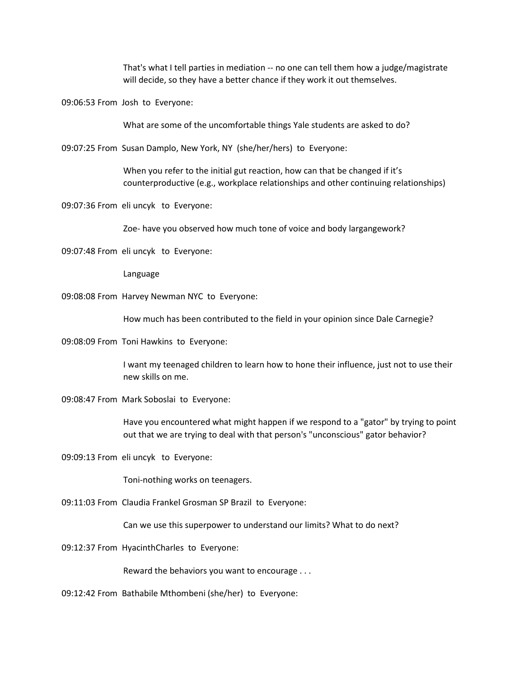That's what I tell parties in mediation -- no one can tell them how a judge/magistrate will decide, so they have a better chance if they work it out themselves.

09:06:53 From Josh to Everyone:

What are some of the uncomfortable things Yale students are asked to do?

09:07:25 From Susan Damplo, New York, NY (she/her/hers) to Everyone:

When you refer to the initial gut reaction, how can that be changed if it's counterproductive (e.g., workplace relationships and other continuing relationships)

09:07:36 From eli uncyk to Everyone:

Zoe- have you observed how much tone of voice and body largangework?

09:07:48 From eli uncyk to Everyone:

Language

09:08:08 From Harvey Newman NYC to Everyone:

How much has been contributed to the field in your opinion since Dale Carnegie?

09:08:09 From Toni Hawkins to Everyone:

I want my teenaged children to learn how to hone their influence, just not to use their new skills on me.

09:08:47 From Mark Soboslai to Everyone:

Have you encountered what might happen if we respond to a "gator" by trying to point out that we are trying to deal with that person's "unconscious" gator behavior?

09:09:13 From eli uncyk to Everyone:

Toni-nothing works on teenagers.

09:11:03 From Claudia Frankel Grosman SP Brazil to Everyone:

Can we use this superpower to understand our limits? What to do next?

09:12:37 From HyacinthCharles to Everyone:

Reward the behaviors you want to encourage . . .

09:12:42 From Bathabile Mthombeni (she/her) to Everyone: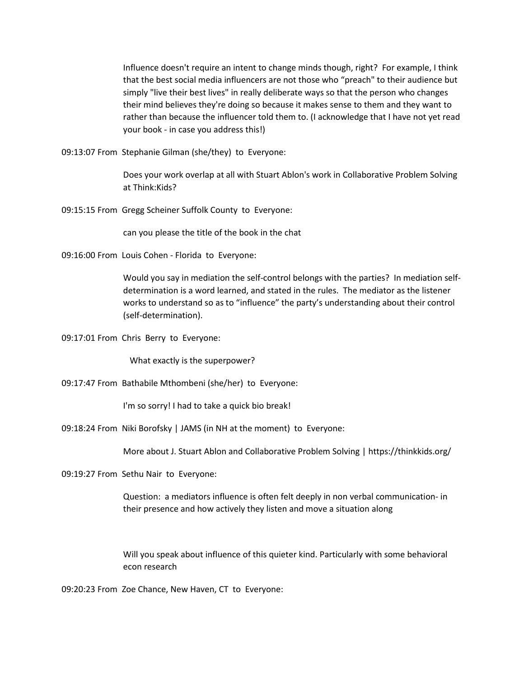Influence doesn't require an intent to change minds though, right? For example, I think that the best social media influencers are not those who "preach" to their audience but simply "live their best lives" in really deliberate ways so that the person who changes their mind believes they're doing so because it makes sense to them and they want to rather than because the influencer told them to. (I acknowledge that I have not yet read your book - in case you address this!)

09:13:07 From Stephanie Gilman (she/they) to Everyone:

Does your work overlap at all with Stuart Ablon's work in Collaborative Problem Solving at Think:Kids?

09:15:15 From Gregg Scheiner Suffolk County to Everyone:

can you please the title of the book in the chat

09:16:00 From Louis Cohen - Florida to Everyone:

Would you say in mediation the self-control belongs with the parties? In mediation selfdetermination is a word learned, and stated in the rules. The mediator as the listener works to understand so as to "influence" the party's understanding about their control (self-determination).

09:17:01 From Chris Berry to Everyone:

What exactly is the superpower?

09:17:47 From Bathabile Mthombeni (she/her) to Everyone:

I'm so sorry! I had to take a quick bio break!

09:18:24 From Niki Borofsky | JAMS (in NH at the moment) to Everyone:

More about J. Stuart Ablon and Collaborative Problem Solving | https://thinkkids.org/

09:19:27 From Sethu Nair to Everyone:

Question: a mediators influence is often felt deeply in non verbal communication- in their presence and how actively they listen and move a situation along

Will you speak about influence of this quieter kind. Particularly with some behavioral econ research

09:20:23 From Zoe Chance, New Haven, CT to Everyone: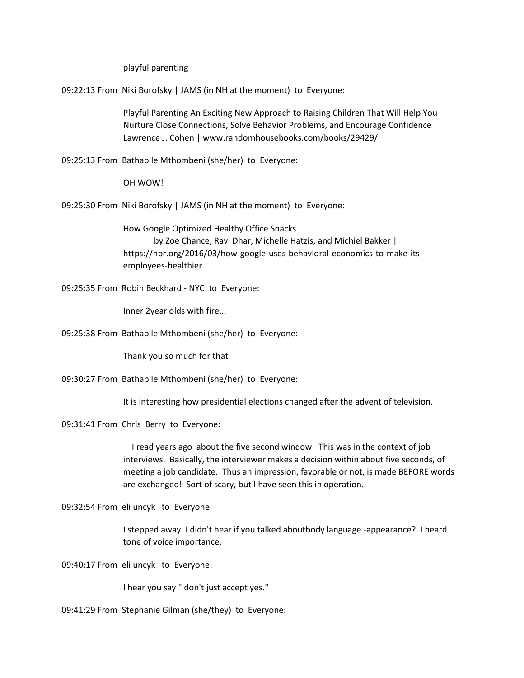playful parenting

09:22:13 From Niki Borofsky | JAMS (in NH at the moment) to Everyone:

Playful Parenting An Exciting New Approach to Raising Children That Will Help You Nurture Close Connections, Solve Behavior Problems, and Encourage Confidence Lawrence J. Cohen | www.randomhousebooks.com/books/29429/

09:25:13 From Bathabile Mthombeni (she/her) to Everyone:

OH WOW!

09:25:30 From Niki Borofsky | JAMS (in NH at the moment) to Everyone:

How Google Optimized Healthy Office Snacks by Zoe Chance, Ravi Dhar, Michelle Hatzis, and Michiel Bakker | https://hbr.org/2016/03/how-google-uses-behavioral-economics-to-make-itsemployees-healthier

09:25:35 From Robin Beckhard - NYC to Everyone:

Inner 2year olds with fire...

09:25:38 From Bathabile Mthombeni (she/her) to Everyone:

Thank you so much for that

09:30:27 From Bathabile Mthombeni (she/her) to Everyone:

It is interesting how presidential elections changed after the advent of television.

09:31:41 From Chris Berry to Everyone:

 I read years ago about the five second window. This was in the context of job interviews. Basically, the interviewer makes a decision within about five seconds, of meeting a job candidate. Thus an impression, favorable or not, is made BEFORE words are exchanged! Sort of scary, but I have seen this in operation.

09:32:54 From eli uncyk to Everyone:

I stepped away. I didn't hear if you talked aboutbody language -appearance?. I heard tone of voice importance. '

09:40:17 From eli uncyk to Everyone:

I hear you say " don't just accept yes."

09:41:29 From Stephanie Gilman (she/they) to Everyone: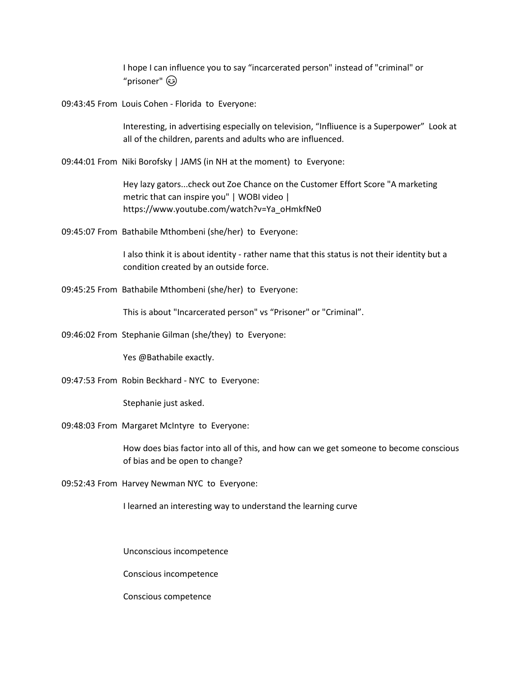I hope I can influence you to say "incarcerated person" instead of "criminal" or "prisoner"

09:43:45 From Louis Cohen - Florida to Everyone:

Interesting, in advertising especially on television, "Infliuence is a Superpower" Look at all of the children, parents and adults who are influenced.

09:44:01 From Niki Borofsky | JAMS (in NH at the moment) to Everyone:

Hey lazy gators...check out Zoe Chance on the Customer Effort Score "A marketing metric that can inspire you" | WOBI video | https://www.youtube.com/watch?v=Ya\_oHmkfNe0

09:45:07 From Bathabile Mthombeni (she/her) to Everyone:

I also think it is about identity - rather name that this status is not their identity but a condition created by an outside force.

09:45:25 From Bathabile Mthombeni (she/her) to Everyone:

This is about "Incarcerated person" vs "Prisoner" or "Criminal".

09:46:02 From Stephanie Gilman (she/they) to Everyone:

Yes @Bathabile exactly.

09:47:53 From Robin Beckhard - NYC to Everyone:

Stephanie just asked.

09:48:03 From Margaret McIntyre to Everyone:

How does bias factor into all of this, and how can we get someone to become conscious of bias and be open to change?

09:52:43 From Harvey Newman NYC to Everyone:

I learned an interesting way to understand the learning curve

Unconscious incompetence

Conscious incompetence

Conscious competence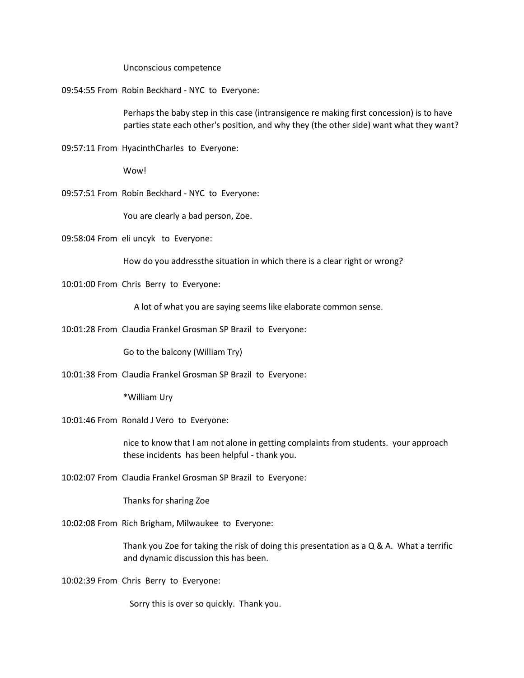Unconscious competence

09:54:55 From Robin Beckhard - NYC to Everyone:

Perhaps the baby step in this case (intransigence re making first concession) is to have parties state each other's position, and why they (the other side) want what they want?

09:57:11 From HyacinthCharles to Everyone:

Wow!

09:57:51 From Robin Beckhard - NYC to Everyone:

You are clearly a bad person, Zoe.

09:58:04 From eli uncyk to Everyone:

How do you addressthe situation in which there is a clear right or wrong?

10:01:00 From Chris Berry to Everyone:

A lot of what you are saying seems like elaborate common sense.

10:01:28 From Claudia Frankel Grosman SP Brazil to Everyone:

Go to the balcony (William Try)

10:01:38 From Claudia Frankel Grosman SP Brazil to Everyone:

\*William Ury

10:01:46 From Ronald J Vero to Everyone:

nice to know that I am not alone in getting complaints from students. your approach these incidents has been helpful - thank you.

10:02:07 From Claudia Frankel Grosman SP Brazil to Everyone:

Thanks for sharing Zoe

10:02:08 From Rich Brigham, Milwaukee to Everyone:

Thank you Zoe for taking the risk of doing this presentation as a  $Q & A$ . What a terrific and dynamic discussion this has been.

10:02:39 From Chris Berry to Everyone:

Sorry this is over so quickly. Thank you.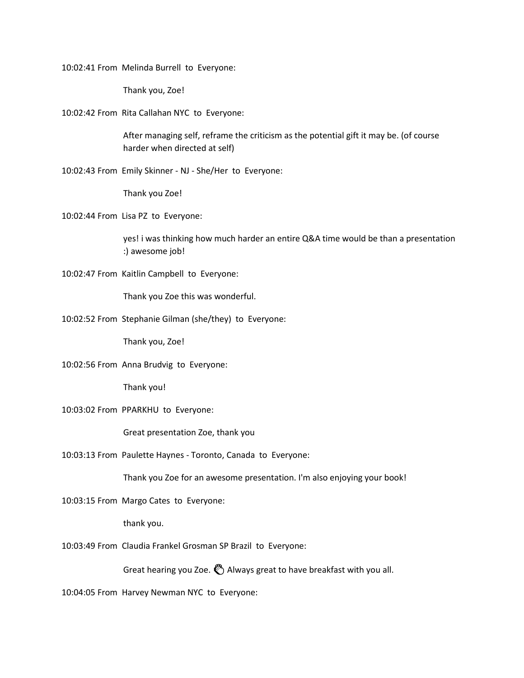10:02:41 From Melinda Burrell to Everyone:

Thank you, Zoe!

10:02:42 From Rita Callahan NYC to Everyone:

After managing self, reframe the criticism as the potential gift it may be. (of course harder when directed at self)

10:02:43 From Emily Skinner - NJ - She/Her to Everyone:

Thank you Zoe!

10:02:44 From Lisa PZ to Everyone:

yes! i was thinking how much harder an entire Q&A time would be than a presentation :) awesome job!

10:02:47 From Kaitlin Campbell to Everyone:

Thank you Zoe this was wonderful.

10:02:52 From Stephanie Gilman (she/they) to Everyone:

Thank you, Zoe!

10:02:56 From Anna Brudvig to Everyone:

Thank you!

10:03:02 From PPARKHU to Everyone:

Great presentation Zoe, thank you

10:03:13 From Paulette Haynes - Toronto, Canada to Everyone:

Thank you Zoe for an awesome presentation. I'm also enjoying your book!

10:03:15 From Margo Cates to Everyone:

thank you.

10:03:49 From Claudia Frankel Grosman SP Brazil to Everyone:

Great hearing you Zoe.  $\bullet$  Always great to have breakfast with you all.

10:04:05 From Harvey Newman NYC to Everyone: